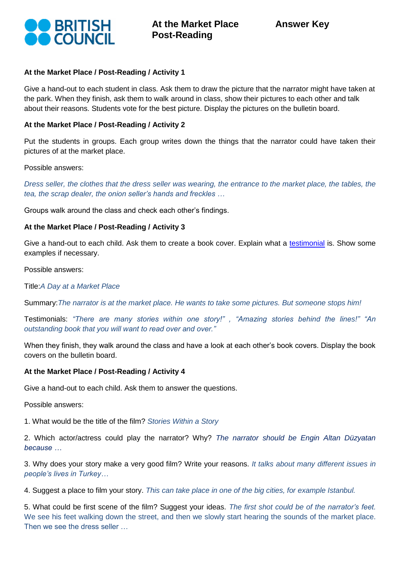

# **At the Market Place / Post-Reading / Activity 1**

Give a hand-out to each student in class. Ask them to draw the picture that the narrator might have taken at the park. When they finish, ask them to walk around in class, show their pictures to each other and talk about their reasons. Students vote for the best picture. Display the pictures on the bulletin board.

# **At the Market Place / Post-Reading / Activity 2**

Put the students in groups. Each group writes down the things that the narrator could have taken their pictures of at the market place.

Possible answers:

*Dress seller, the clothes that the dress seller was wearing, the entrance to the market place, the tables, the tea, the scrap dealer, the onion seller's hands and freckles …*

Groups walk around the class and check each other's findings.

# **At the Market Place / Post-Reading / Activity 3**

Give a hand-out to each child. Ask them to create a book cover. Explain what a [testimonial](http://en.wikipedia.org/wiki/Testimonial) is. Show some examples if necessary.

Possible answers:

Title:*A Day at a Market Place*

Summary:*The narrator is at the market place. He wants to take some pictures. But someone stops him!* 

Testimonials: *"There are many stories within one story!" , "Amazing stories behind the lines!" "An outstanding book that you will want to read over and over."*

When they finish, they walk around the class and have a look at each other's book covers. Display the book covers on the bulletin board.

# **At the Market Place / Post-Reading / Activity 4**

Give a hand-out to each child. Ask them to answer the questions.

Possible answers:

1. What would be the title of the film? *Stories Within a Story*

2. Which actor/actress could play the narrator? Why? *The narrator should be Engin Altan Düzyatan because …*

3. Why does your story make a very good film? Write your reasons. *It talks about many different issues in people's lives in Turkey…*

4. Suggest a place to film your story. *This can take place in one of the big cities, for example Istanbul.*

5. What could be first scene of the film? Suggest your ideas. *The first shot could be of the narrator's feet.* We see his feet walking down the street, and then we slowly start hearing the sounds of the market place. Then we see the dress seller …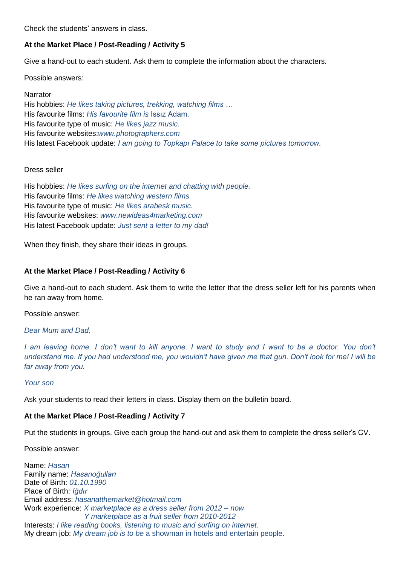Check the students' answers in class.

# **At the Market Place / Post-Reading / Activity 5**

Give a hand-out to each student. Ask them to complete the information about the characters.

Possible answers:

Narrator His hobbies: *He likes taking pictures, trekking, watching films …* His favourite films: *His favourite film is* Issız Adam. His favourite type of music: *He likes jazz music.* His favourite websites:*www.photographers.com* His latest Facebook update: *I am going to Topkapı Palace to take some pictures tomorrow.*

# Dress seller

His hobbies: *He likes surfing on the internet and chatting with people.* His favourite films: *He likes watching western films.* His favourite type of music: *He likes arabesk music.*  His favourite websites: *www.newideas4marketing.com* His latest Facebook update: *Just sent a letter to my dad!* 

When they finish, they share their ideas in groups.

# **At the Market Place / Post-Reading / Activity 6**

Give a hand-out to each student. Ask them to write the letter that the dress seller left for his parents when he ran away from home.

Possible answer:

*Dear Mum and Dad,*

*I am leaving home. I don't want to kill anyone. I want to study and I want to be a doctor. You don't understand me. If you had understood me, you wouldn't have given me that gun. Don't look for me! I will be far away from you.* 

#### *Your son*

Ask your students to read their letters in class. Display them on the bulletin board.

# **At the Market Place / Post-Reading / Activity 7**

Put the students in groups. Give each group the hand-out and ask them to complete the dress seller's CV.

Possible answer:

Name: *Hasan* Family name: *Hasanoğulları* Date of Birth: *01.10.1990* Place of Birth: *Iğdır* Email address: *hasanatthemarket@hotmail.com* Work experience: *X marketplace as a dress seller from 2012 – now Y marketplace as a fruit seller from 2010-2012* Interests: *I like reading books, listening to music and surfing on internet.* My dream job: *My dream job is to be* a showman in hotels and entertain people.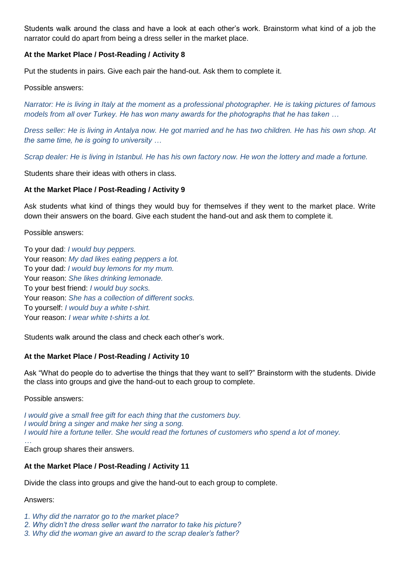Students walk around the class and have a look at each other's work. Brainstorm what kind of a job the narrator could do apart from being a dress seller in the market place.

# **At the Market Place / Post-Reading / Activity 8**

Put the students in pairs. Give each pair the hand-out. Ask them to complete it.

Possible answers:

*Narrator: He is living in Italy at the moment as a professional photographer. He is taking pictures of famous models from all over Turkey. He has won many awards for the photographs that he has taken …* 

*Dress seller: He is living in Antalya now. He got married and he has two children. He has his own shop. At the same time, he is going to university …*

*Scrap dealer: He is living in Istanbul. He has his own factory now. He won the lottery and made a fortune.*

Students share their ideas with others in class.

### **At the Market Place / Post-Reading / Activity 9**

Ask students what kind of things they would buy for themselves if they went to the market place. Write down their answers on the board. Give each student the hand-out and ask them to complete it.

Possible answers:

To your dad: *I would buy peppers.* Your reason: *My dad likes eating peppers a lot.* To your dad: *I would buy lemons for my mum.* Your reason: *She likes drinking lemonade.* To your best friend: *I would buy socks.* Your reason: *She has a collection of different socks.* To yourself: *I would buy a white t-shirt.* Your reason: *I wear white t-shirts a lot.*

Students walk around the class and check each other's work.

# **At the Market Place / Post-Reading / Activity 10**

Ask "What do people do to advertise the things that they want to sell?" Brainstorm with the students. Divide the class into groups and give the hand-out to each group to complete.

Possible answers:

*I would give a small free gift for each thing that the customers buy. I would bring a singer and make her sing a song. I would hire a fortune teller. She would read the fortunes of customers who spend a lot of money.* 

*…* Each group shares their answers.

#### **At the Market Place / Post-Reading / Activity 11**

Divide the class into groups and give the hand-out to each group to complete.

#### Answers:

*1. Why did the narrator go to the market place?*

- *2. Why didn't the dress seller want the narrator to take his picture?*
- *3. Why did the woman give an award to the scrap dealer's father?*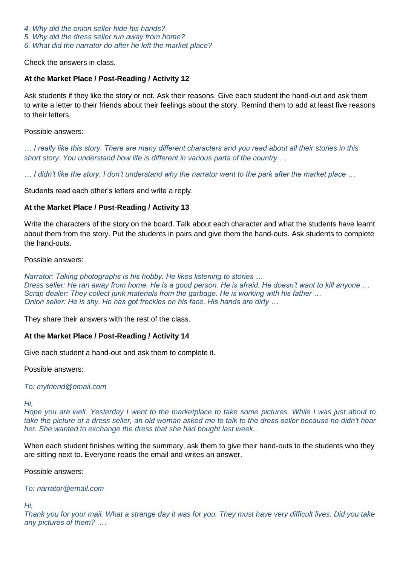*4. Why did the onion seller hide his hands?*

*5. Why did the dress seller run away from home?*

*6. What did the narrator do after he left the market place?*

Check the answers in class.

# **At the Market Place / Post-Reading / Activity 12**

Ask students if they like the story or not. Ask their reasons. Give each student the hand-out and ask them to write a letter to their friends about their feelings about the story. Remind them to add at least five reasons to their letters.

#### Possible answers:

*… I really like this story. There are many different characters and you read about all their stories in this short story. You understand how life is different in various parts of the country …*

*… I didn't like the story. I don't understand why the narrator went to the park after the market place …*

Students read each other's letters and write a reply.

# **At the Market Place / Post-Reading / Activity 13**

Write the characters of the story on the board. Talk about each character and what the students have learnt about them from the story. Put the students in pairs and give them the hand-outs. Ask students to complete the hand-outs.

Possible answers:

*Narrator: Taking photographs is his hobby. He likes listening to stories … Dress seller: He ran away from home. He is a good person. He is afraid. He doesn't want to kill anyone … Scrap dealer: They collect junk materials from the garbage. He is working with his father … Onion seller: He is shy. He has got freckles on his face. His hands are dirty …*

They share their answers with the rest of the class.

#### **At the Market Place / Post-Reading / Activity 14**

Give each student a hand-out and ask them to complete it.

Possible answers:

#### *To: myfriend@email.com*

*Hi,*

*Hope you are well. Yesterday I went to the marketplace to take some pictures. While I was just about to take the picture of a dress seller, an old woman asked me to talk to the dress seller because he didn't hear her. She wanted to exchange the dress that she had bought last week...*

When each student finishes writing the summary, ask them to give their hand-outs to the students who they are sitting next to. Everyone reads the email and writes an answer.

Possible answers:

*To: narrator@email.com*

*Hi,*

*Thank you for your mail. What a strange day it was for you. They must have very difficult lives. Did you take any pictures of them? …*